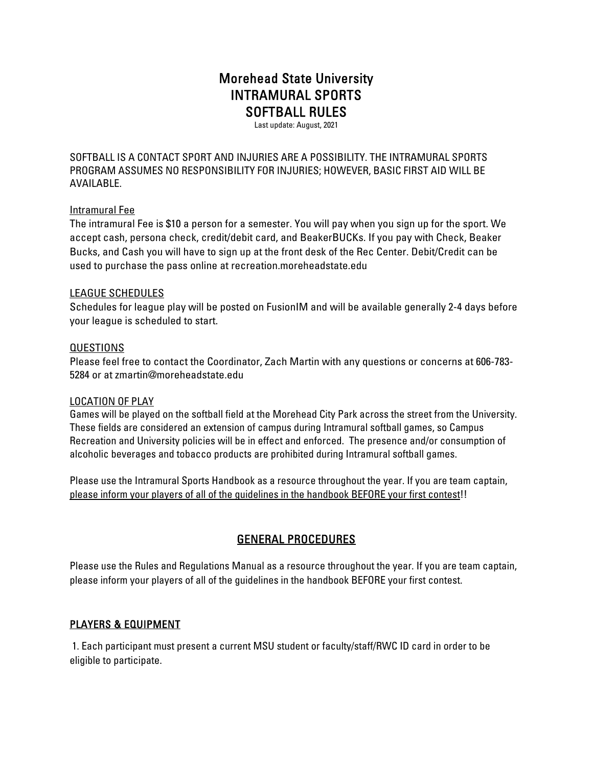# Morehead State University INTRAMURAL SPORTS SOFTBALL RULES

Last update: August, 2021

SOFTBALL IS A CONTACT SPORT AND INJURIES ARE A POSSIBILITY. THE INTRAMURAL SPORTS PROGRAM ASSUMES NO RESPONSIBILITY FOR INJURIES; HOWEVER, BASIC FIRST AID WILL BE AVAILABLE.

### Intramural Fee

The intramural Fee is \$10 a person for a semester. You will pay when you sign up for the sport. We accept cash, persona check, credit/debit card, and BeakerBUCKs. If you pay with Check, Beaker Bucks, and Cash you will have to sign up at the front desk of the Rec Center. Debit/Credit can be used to purchase the pass online at recreation.moreheadstate.edu

#### LEAGUE SCHEDULES

Schedules for league play will be posted on FusionIM and will be available generally 2-4 days before your league is scheduled to start.

### QUESTIONS

Please feel free to contact the Coordinator, Zach Martin with any questions or concerns at 606-783- 5284 or at zmartin@moreheadstate.edu

#### LOCATION OF PLAY

Games will be played on the softball field at the Morehead City Park across the street from the University. These fields are considered an extension of campus during Intramural softball games, so Campus Recreation and University policies will be in effect and enforced. The presence and/or consumption of alcoholic beverages and tobacco products are prohibited during Intramural softball games.

Please use the Intramural Sports Handbook as a resource throughout the year. If you are team captain, please inform your players of all of the guidelines in the handbook BEFORE your first contest!!

## GENERAL PROCEDURES

Please use the Rules and Regulations Manual as a resource throughout the year. If you are team captain, please inform your players of all of the guidelines in the handbook BEFORE your first contest.

## PLAYERS & EQUIPMENT

 1. Each participant must present a current MSU student or faculty/staff/RWC ID card in order to be eligible to participate.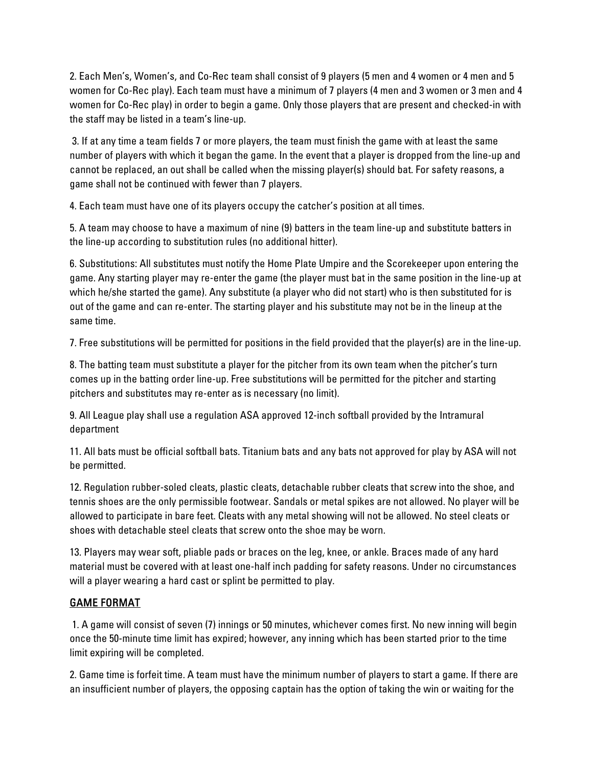2. Each Men's, Women's, and Co-Rec team shall consist of 9 players (5 men and 4 women or 4 men and 5 women for Co-Rec play). Each team must have a minimum of 7 players (4 men and 3 women or 3 men and 4 women for Co-Rec play) in order to begin a game. Only those players that are present and checked-in with the staff may be listed in a team's line-up.

 3. If at any time a team fields 7 or more players, the team must finish the game with at least the same number of players with which it began the game. In the event that a player is dropped from the line-up and cannot be replaced, an out shall be called when the missing player(s) should bat. For safety reasons, a game shall not be continued with fewer than 7 players.

4. Each team must have one of its players occupy the catcher's position at all times.

5. A team may choose to have a maximum of nine (9) batters in the team line-up and substitute batters in the line-up according to substitution rules (no additional hitter).

6. Substitutions: All substitutes must notify the Home Plate Umpire and the Scorekeeper upon entering the game. Any starting player may re-enter the game (the player must bat in the same position in the line-up at which he/she started the game). Any substitute (a player who did not start) who is then substituted for is out of the game and can re-enter. The starting player and his substitute may not be in the lineup at the same time.

7. Free substitutions will be permitted for positions in the field provided that the player(s) are in the line-up.

8. The batting team must substitute a player for the pitcher from its own team when the pitcher's turn comes up in the batting order line-up. Free substitutions will be permitted for the pitcher and starting pitchers and substitutes may re-enter as is necessary (no limit).

9. All League play shall use a regulation ASA approved 12-inch softball provided by the Intramural department

11. All bats must be official softball bats. Titanium bats and any bats not approved for play by ASA will not be permitted.

12. Regulation rubber-soled cleats, plastic cleats, detachable rubber cleats that screw into the shoe, and tennis shoes are the only permissible footwear. Sandals or metal spikes are not allowed. No player will be allowed to participate in bare feet. Cleats with any metal showing will not be allowed. No steel cleats or shoes with detachable steel cleats that screw onto the shoe may be worn.

13. Players may wear soft, pliable pads or braces on the leg, knee, or ankle. Braces made of any hard material must be covered with at least one-half inch padding for safety reasons. Under no circumstances will a player wearing a hard cast or splint be permitted to play.

## GAME FORMAT

 1. A game will consist of seven (7) innings or 50 minutes, whichever comes first. No new inning will begin once the 50-minute time limit has expired; however, any inning which has been started prior to the time limit expiring will be completed.

2. Game time is forfeit time. A team must have the minimum number of players to start a game. If there are an insufficient number of players, the opposing captain has the option of taking the win or waiting for the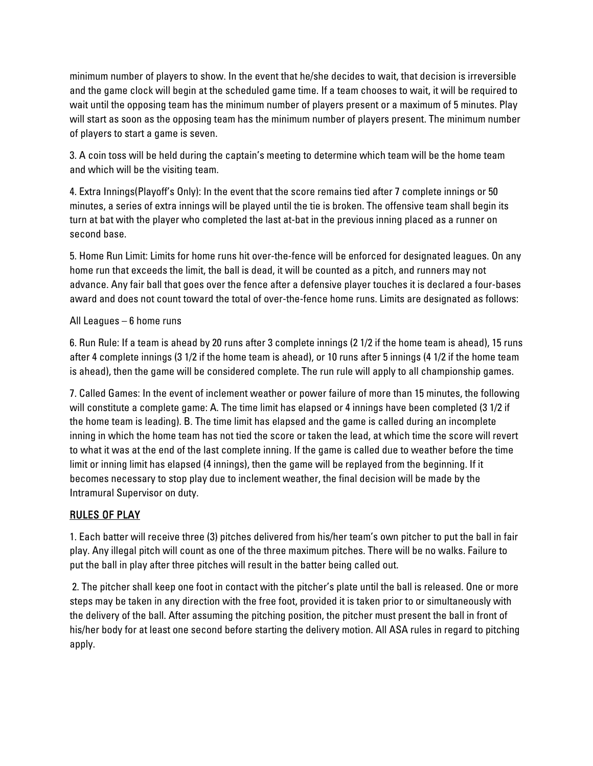minimum number of players to show. In the event that he/she decides to wait, that decision is irreversible and the game clock will begin at the scheduled game time. If a team chooses to wait, it will be required to wait until the opposing team has the minimum number of players present or a maximum of 5 minutes. Play will start as soon as the opposing team has the minimum number of players present. The minimum number of players to start a game is seven.

3. A coin toss will be held during the captain's meeting to determine which team will be the home team and which will be the visiting team.

4. Extra Innings(Playoff's Only): In the event that the score remains tied after 7 complete innings or 50 minutes, a series of extra innings will be played until the tie is broken. The offensive team shall begin its turn at bat with the player who completed the last at-bat in the previous inning placed as a runner on second base.

5. Home Run Limit: Limits for home runs hit over-the-fence will be enforced for designated leagues. On any home run that exceeds the limit, the ball is dead, it will be counted as a pitch, and runners may not advance. Any fair ball that goes over the fence after a defensive player touches it is declared a four-bases award and does not count toward the total of over-the-fence home runs. Limits are designated as follows:

### All Leagues – 6 home runs

6. Run Rule: If a team is ahead by 20 runs after 3 complete innings (2 1/2 if the home team is ahead), 15 runs after 4 complete innings (3 1/2 if the home team is ahead), or 10 runs after 5 innings (4 1/2 if the home team is ahead), then the game will be considered complete. The run rule will apply to all championship games.

7. Called Games: In the event of inclement weather or power failure of more than 15 minutes, the following will constitute a complete game: A. The time limit has elapsed or 4 innings have been completed (3 1/2 if the home team is leading). B. The time limit has elapsed and the game is called during an incomplete inning in which the home team has not tied the score or taken the lead, at which time the score will revert to what it was at the end of the last complete inning. If the game is called due to weather before the time limit or inning limit has elapsed (4 innings), then the game will be replayed from the beginning. If it becomes necessary to stop play due to inclement weather, the final decision will be made by the Intramural Supervisor on duty.

## RULES OF PLAY

1. Each batter will receive three (3) pitches delivered from his/her team's own pitcher to put the ball in fair play. Any illegal pitch will count as one of the three maximum pitches. There will be no walks. Failure to put the ball in play after three pitches will result in the batter being called out.

 2. The pitcher shall keep one foot in contact with the pitcher's plate until the ball is released. One or more steps may be taken in any direction with the free foot, provided it is taken prior to or simultaneously with the delivery of the ball. After assuming the pitching position, the pitcher must present the ball in front of his/her body for at least one second before starting the delivery motion. All ASA rules in regard to pitching apply.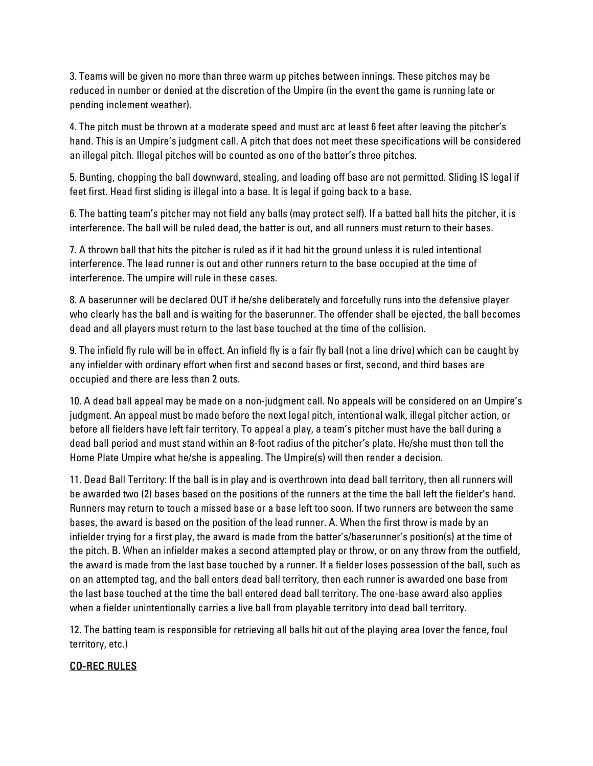3. Teams will be given no more than three warm up pitches between innings. These pitches may be reduced in number or denied at the discretion of the Umpire (in the event the game is running late or pending inclement weather).

4. The pitch must be thrown at a moderate speed and must arc at least 6 feet after leaving the pitcher's hand. This is an Umpire's judgment call. A pitch that does not meet these specifications will be considered an illegal pitch. Illegal pitches will be counted as one of the batter's three pitches.

5. Bunting, chopping the ball downward, stealing, and leading off base are not permitted. Sliding IS legal if feet first. Head first sliding is illegal into a base. It is legal if going back to a base.

6. The batting team's pitcher may not field any balls (may protect self). If a batted ball hits the pitcher, it is interference. The ball will be ruled dead, the batter is out, and all runners must return to their bases.

7. A thrown ball that hits the pitcher is ruled as if it had hit the ground unless it is ruled intentional interference. The lead runner is out and other runners return to the base occupied at the time of interference. The umpire will rule in these cases.

8. A baserunner will be declared OUT if he/she deliberately and forcefully runs into the defensive player who clearly has the ball and is waiting for the baserunner. The offender shall be ejected, the ball becomes dead and all players must return to the last base touched at the time of the collision.

9. The infield fly rule will be in effect. An infield fly is a fair fly ball (not a line drive) which can be caught by any infielder with ordinary effort when first and second bases or first, second, and third bases are occupied and there are less than 2 outs.

10. A dead ball appeal may be made on a non-judgment call. No appeals will be considered on an Umpire's judgment. An appeal must be made before the next legal pitch, intentional walk, illegal pitcher action, or before all fielders have left fair territory. To appeal a play, a team's pitcher must have the ball during a dead ball period and must stand within an 8-foot radius of the pitcher's plate. He/she must then tell the Home Plate Umpire what he/she is appealing. The Umpire(s) will then render a decision.

11. Dead Ball Territory: If the ball is in play and is overthrown into dead ball territory, then all runners will be awarded two (2) bases based on the positions of the runners at the time the ball left the fielder's hand. Runners may return to touch a missed base or a base left too soon. If two runners are between the same bases, the award is based on the position of the lead runner. A. When the first throw is made by an infielder trying for a first play, the award is made from the batter's/baserunner's position(s) at the time of the pitch. B. When an infielder makes a second attempted play or throw, or on any throw from the outfield, the award is made from the last base touched by a runner. If a fielder loses possession of the ball, such as on an attempted tag, and the ball enters dead ball territory, then each runner is awarded one base from the last base touched at the time the ball entered dead ball territory. The one-base award also applies when a fielder unintentionally carries a live ball from playable territory into dead ball territory.

12. The batting team is responsible for retrieving all balls hit out of the playing area (over the fence, foul territory, etc.)

## CO-REC RULES